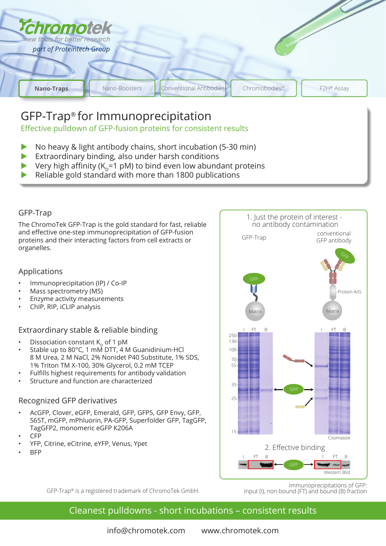

# GFP-Trap® for Immunoprecipitation

Effective pulldown of GFP-fusion proteins for consistent results

- No heavy & light antibody chains, short incubation (5-30 min)
- Extraordinary binding, also under harsh conditions
- Very high affinity ( $K_p=1$  pM) to bind even low abundant proteins
- Reliable gold standard with more than 1800 publications

# GFP-Trap

The ChromoTek GFP-Trap is the gold standard for fast, reliable and effective one-step immunoprecipitation of GFP-fusion proteins and their interacting factors from cell extracts or organelles.

### Applications

- Immunoprecipitation (IP) / Co-IP
- Mass spectrometry (MS)
- Enzyme activity measurements
- ChIP, RIP, iCLIP analysis

### Extraordinary stable & reliable binding

- Dissociation constant  $K_p$  of 1 pM
- Stable up to 80 $^{\circ}$ C, 1 mM DTT, 4 M Guanidinium HCl 8 M Urea, 2 M NaCl, 2% Nonidet P40 Substitute, 1% SDS, 1% Triton TM X-100, 30% Glycerol, 0.2 mM TCEP
- Fulfills highest requirements for antibody validation
- Structure and function are characterized

### Recognized GFP derivatives

- AcGFP, Clover, eGFP, Emerald, GFP, GFP5, GFP Envy, GFP, S65T, mGFP, mPhluorin, PA-GFP, Superfolder GFP, TagGFP, TagGFP2, monomeric eGFP K206A
- CFP
- YFP, Citrine, eCitrine, eYFP, Venus, Ypet
- BFP



GFP-Trap® is a registered trademark of ChromoTek GmbH.

Immunoprecipitations of GFP: Input (I), non-bound (FT) and bound (B) fraction

# Cleanest pulldowns - short incubations – consistent results

info@chromotek.com www.chromotek.com